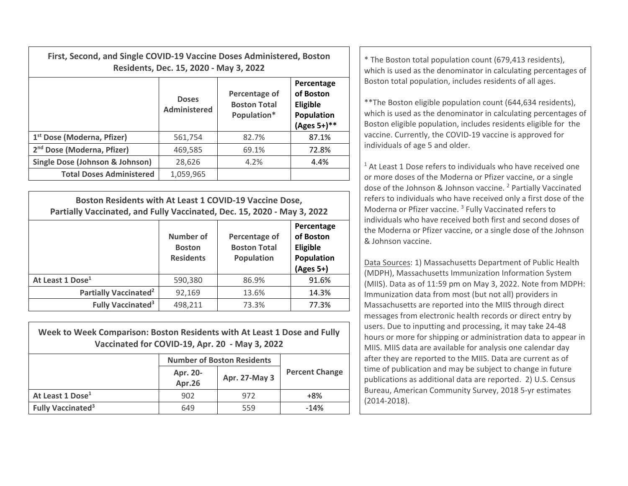| First, Second, and Single COVID-19 Vaccine Doses Administered, Boston<br>Residents, Dec. 15, 2020 - May 3, 2022 |                              |                                                     |                                                                            | * The Boston total population count (679,413 residents),<br>which is used as the denominator in calculating percentages of                                                                                                                                    |
|-----------------------------------------------------------------------------------------------------------------|------------------------------|-----------------------------------------------------|----------------------------------------------------------------------------|---------------------------------------------------------------------------------------------------------------------------------------------------------------------------------------------------------------------------------------------------------------|
|                                                                                                                 | <b>Doses</b><br>Administered | Percentage of<br><b>Boston Total</b><br>Population* | Percentage<br>of Boston<br><b>Eligible</b><br>Population<br>$(Ages 5+)$ ** | Boston total population, includes residents of all ages.<br>** The Boston eligible population count (644,634 residents),<br>which is used as the denominator in calculating percentages of<br>Boston eligible population, includes residents eligible for the |
| 1 <sup>st</sup> Dose (Moderna, Pfizer)                                                                          | 561.754                      | 82.7%                                               | 87.1%                                                                      | vaccine. Currently, the COVID-19 vaccine is approved for                                                                                                                                                                                                      |
| 2 <sup>nd</sup> Dose (Moderna, Pfizer)                                                                          | 469,585                      | 69.1%                                               | 72.8%                                                                      | individuals of age 5 and older.                                                                                                                                                                                                                               |
| Single Dose (Johnson & Johnson)                                                                                 | 28,626                       | 4.2%                                                | 4.4%                                                                       | <sup>1</sup> At Least 1 Dose refers to individuals who have received one                                                                                                                                                                                      |
| <b>Total Doses Administered</b>                                                                                 | 1,059,965                    |                                                     |                                                                            | or more doses of the Moderna or Pfizer vaccine, or a single                                                                                                                                                                                                   |

| Boston Residents with At Least 1 COVID-19 Vaccine Dose,<br>Partially Vaccinated, and Fully Vaccinated, Dec. 15, 2020 - May 3, 2022 |                                                |                                                    |                                                                |  |  |
|------------------------------------------------------------------------------------------------------------------------------------|------------------------------------------------|----------------------------------------------------|----------------------------------------------------------------|--|--|
|                                                                                                                                    | Number of<br><b>Boston</b><br><b>Residents</b> | Percentage of<br><b>Boston Total</b><br>Population | Percentage<br>of Boston<br>Eligible<br>Population<br>(Ages 5+) |  |  |
| At Least 1 Dose <sup>1</sup>                                                                                                       | 590,380                                        | 86.9%                                              | 91.6%                                                          |  |  |
| Partially Vaccinated <sup>2</sup>                                                                                                  | 92,169                                         | 13.6%                                              | 14.3%                                                          |  |  |
| <b>Fully Vaccinated<sup>3</sup></b>                                                                                                | 498,211                                        | 73.3%                                              | 77.3%                                                          |  |  |

| Week to Week Comparison: Boston Residents with At Least 1 Dose and Fully<br>Vaccinated for COVID-19, Apr. 20 - May 3, 2022 |                                   |               |                       |  |  |
|----------------------------------------------------------------------------------------------------------------------------|-----------------------------------|---------------|-----------------------|--|--|
|                                                                                                                            | <b>Number of Boston Residents</b> |               |                       |  |  |
|                                                                                                                            | Apr. 20-<br>Apr.26                | Apr. 27-May 3 | <b>Percent Change</b> |  |  |
| At Least 1 Dose <sup>1</sup>                                                                                               | 902                               | 972           | +8%                   |  |  |
| <b>Fully Vaccinated<sup>3</sup></b>                                                                                        | 649                               | 559           | $-14%$                |  |  |

 $1$  At Least 1 Dose refers to individuals who have received one or more doses of the Moderna or Pfizer vaccine, or <sup>a</sup> single dose of the Johnson & Johnson vaccine. <sup>2</sup> Partially Vaccinated refers to individuals who have received only <sup>a</sup> first dose of the Moderna or Pfizer vaccine. <sup>3</sup> Fully Vaccinated refers to individuals who have received both first and second doses of the Moderna or Pfizer vaccine, or <sup>a</sup> single dose of the Johnson & Johnson vaccine.

Data Sources: 1) Massachusetts Department of Public Health (MDPH), Massachusetts Immunization Information System (MIIS). Data as of 11:59 pm on May 3, 2022. Note from MDPH: Immunization data from most (but not all) providers in Massachusetts are reported into the MIIS through direct messages from electronic health records or direct entry by users. Due to inputting and processing, it may take 24‐48 hours or more for shipping or administration data to appear in MIIS. MIIS data are available for analysis one calendar day after they are reported to the MIIS. Data are current as of time of publication and may be subject to change in future publications as additional data are reported. 2) U.S. Census Bureau, American Community Survey, 2018 5‐yr estimates (2014‐2018).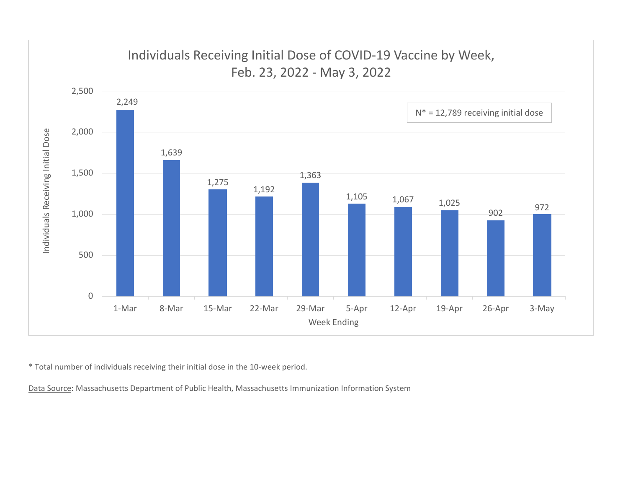

\* Total number of individuals receiving their initial dose in the 10‐week period.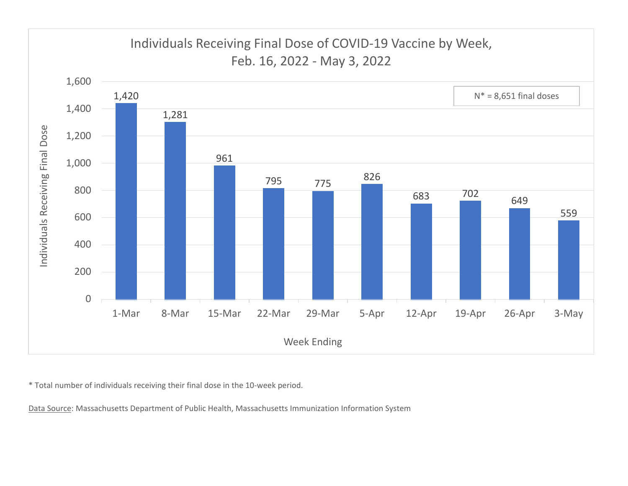

\* Total number of individuals receiving their final dose in the 10‐week period.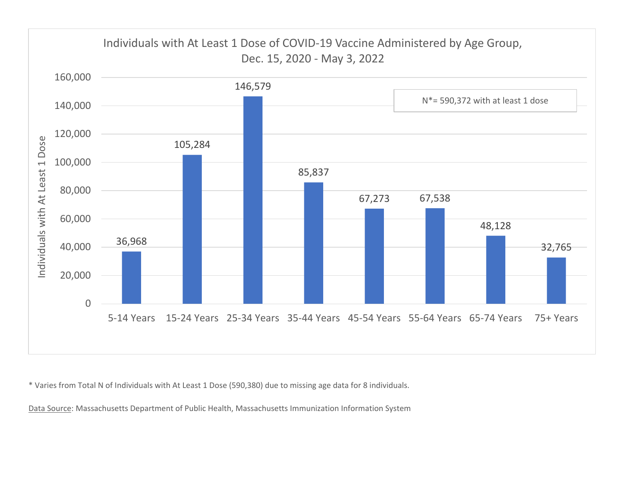

\* Varies from Total N of Individuals with At Least 1 Dose (590,380) due to missing age data for 8 individuals.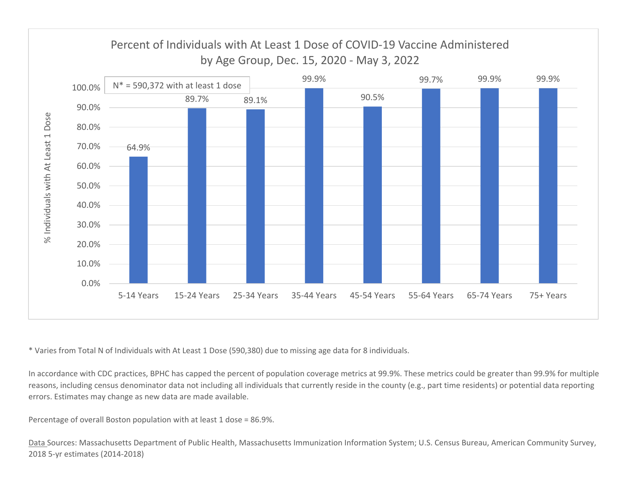

\* Varies from Total N of Individuals with At Least 1 Dose (590,380) due to missing age data for 8 individuals.

In accordance with CDC practices, BPHC has capped the percent of population coverage metrics at 99.9%. These metrics could be greater than 99.9% for multiple reasons, including census denominator data not including all individuals that currently reside in the county (e.g., part time residents) or potential data reporting errors. Estimates may change as new data are made available.

Percentage of overall Boston population with at least 1 dose <sup>=</sup> 86.9%.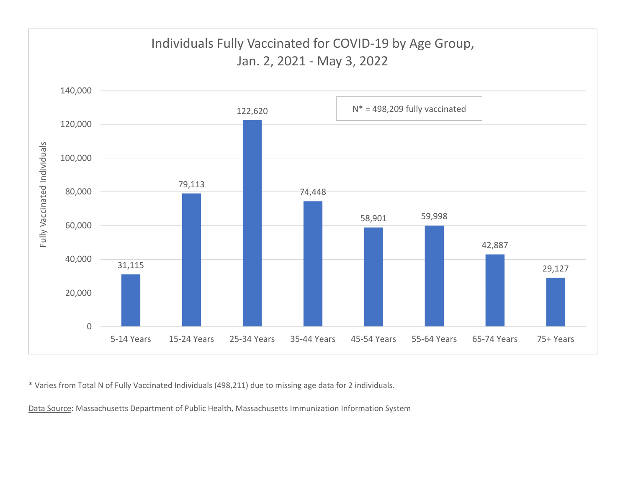

\* Varies from Total N of Fully Vaccinated Individuals (498,211) due to missing age data for 2 individuals.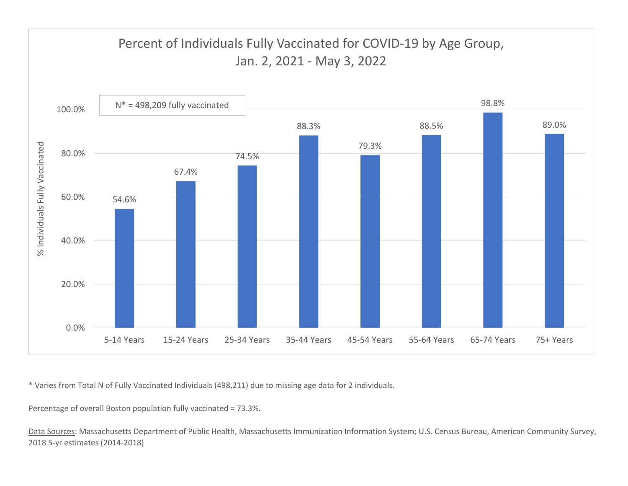

\* Varies from Total N of Fully Vaccinated Individuals (498,211) due to missing age data for 2 individuals.

Percentage of overall Boston population fully vaccinated <sup>=</sup> 73.3%.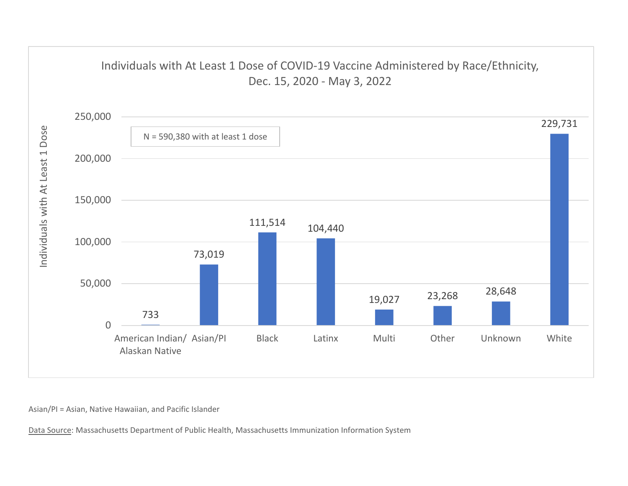

Asian/PI <sup>=</sup> Asian, Native Hawaiian, and Pacific Islander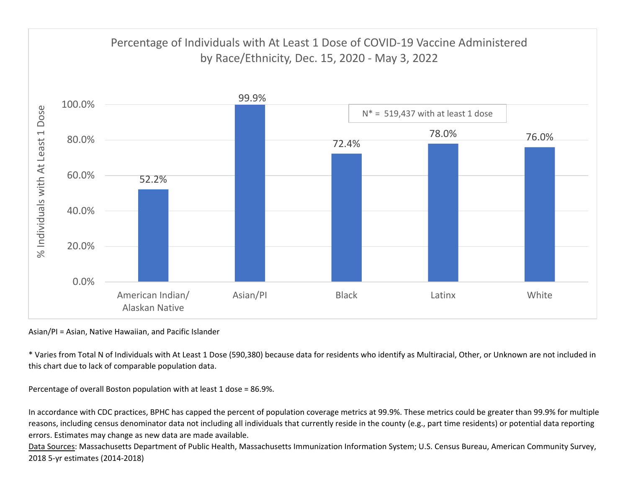

Asian/PI <sup>=</sup> Asian, Native Hawaiian, and Pacific Islander

\* Varies from Total N of Individuals with At Least 1 Dose (590,380) because data for residents who identify as Multiracial, Other, or Unknown are not included in this chart due to lack of comparable population data.

Percentage of overall Boston population with at least 1 dose <sup>=</sup> 86.9%.

In accordance with CDC practices, BPHC has capped the percent of population coverage metrics at 99.9%. These metrics could be greater than 99.9% for multiple reasons, including census denominator data not including all individuals that currently reside in the county (e.g., part time residents) or potential data reporting errors. Estimates may change as new data are made available.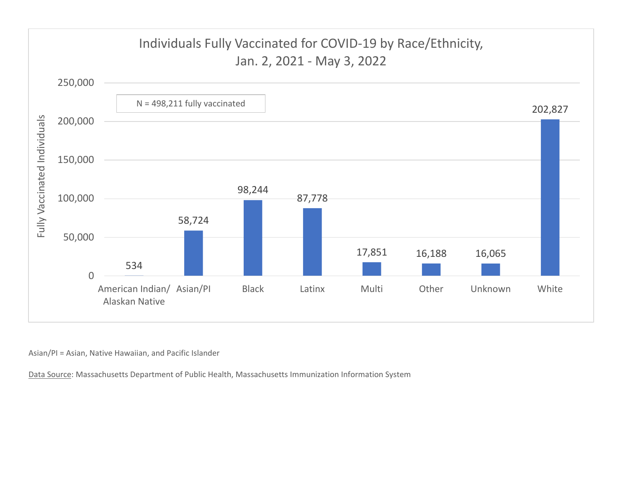

Asian/PI <sup>=</sup> Asian, Native Hawaiian, and Pacific Islander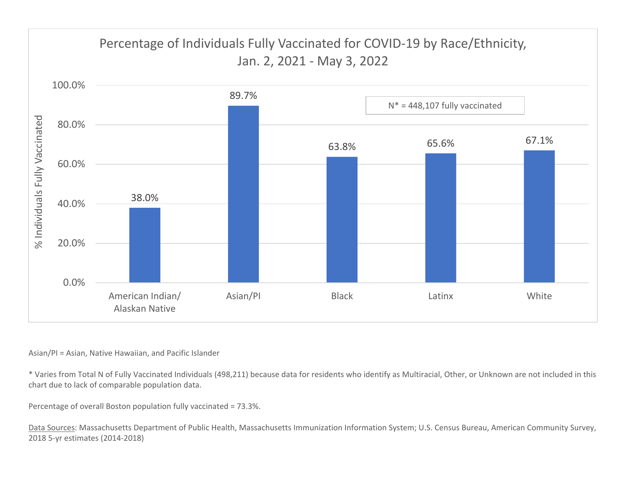

## Asian/PI <sup>=</sup> Asian, Native Hawaiian, and Pacific Islander

\* Varies from Total N of Fully Vaccinated Individuals (498,211) because data for residents who identify as Multiracial, Other, or Unknown are not included in this chart due to lack of comparable population data.

Percentage of overall Boston population fully vaccinated <sup>=</sup> 73.3%.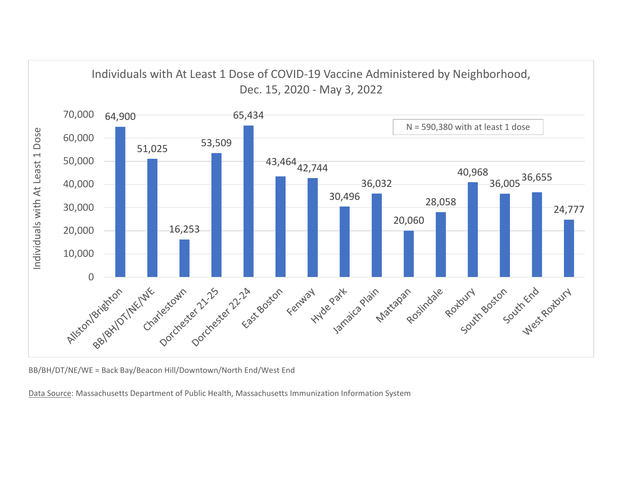

BB/BH/DT/NE/WE <sup>=</sup> Back Bay/Beacon Hill/Downtown/North End/West End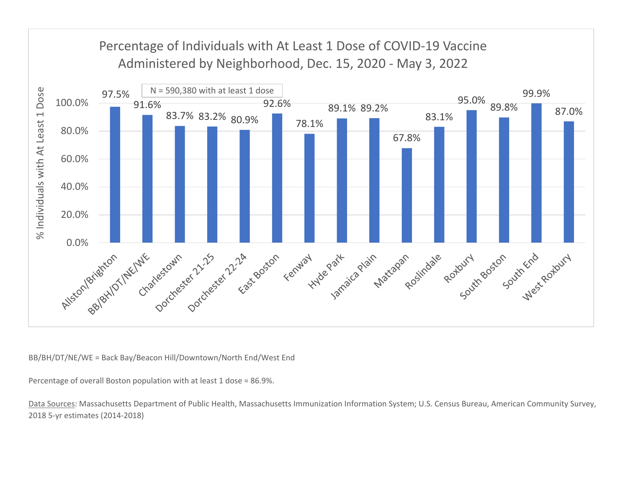

BB/BH/DT/NE/WE <sup>=</sup> Back Bay/Beacon Hill/Downtown/North End/West End

Percentage of overall Boston population with at least 1 dose <sup>=</sup> 86.9%.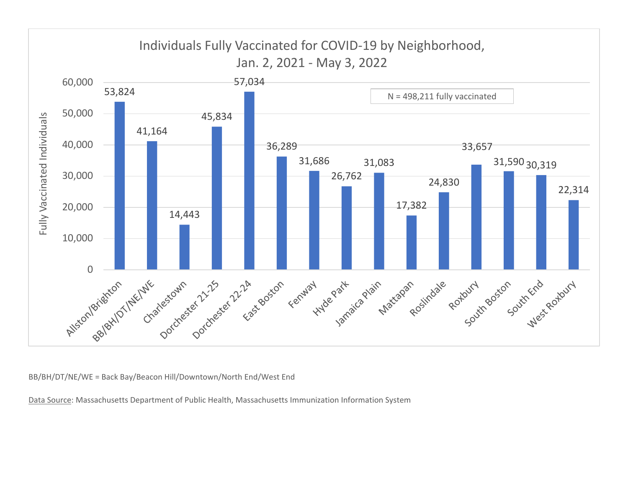

BB/BH/DT/NE/WE <sup>=</sup> Back Bay/Beacon Hill/Downtown/North End/West End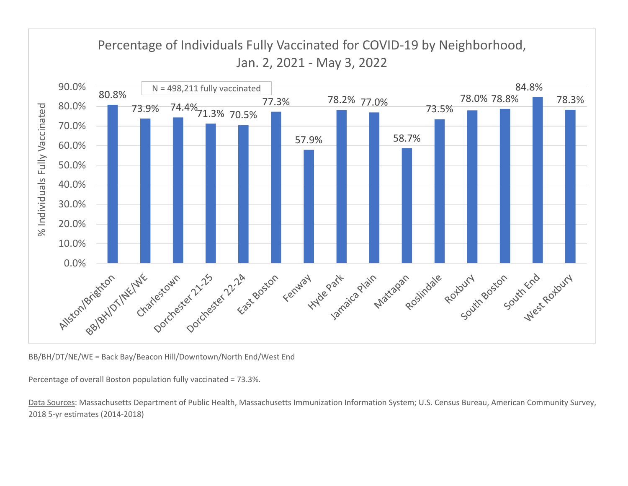

BB/BH/DT/NE/WE <sup>=</sup> Back Bay/Beacon Hill/Downtown/North End/West End

Percentage of overall Boston population fully vaccinated <sup>=</sup> 73.3%.